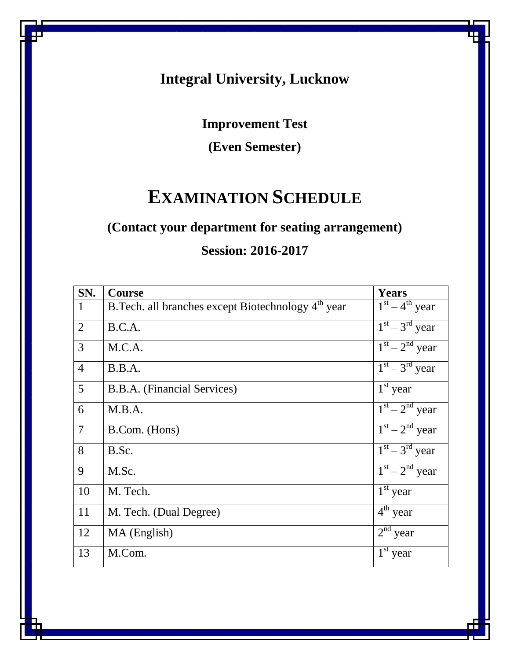## **Integral University, Lucknow**

## **Improvement Test**

**(Even Semester)**

# **EXAMINATION SCHEDULE**

## **(Contact your department for seating arrangement)**

## **Session: 2016-2017**

| SN.            | <b>Course</b>                                                   | Years            |
|----------------|-----------------------------------------------------------------|------------------|
| $\mathbf{1}$   | B. Tech. all branches except Biotechnology 4 <sup>th</sup> year | $1st - 4th$ year |
| $\overline{2}$ | B.C.A.                                                          | $1st - 3rd$ year |
| 3              | M.C.A.                                                          | $1st - 2nd$ year |
| $\overline{4}$ | B.B.A.                                                          | $1st - 3rd$ year |
| 5              | B.B.A. (Financial Services)                                     | $1st$ year       |
| 6              | M.B.A.                                                          | $1st - 2nd$ year |
| $\overline{7}$ | B.Com. (Hons)                                                   | $1st - 2nd$ year |
| 8              | B.Sc.                                                           | $1st - 3rd$ year |
| 9              | M.Sc.                                                           | $1st - 2nd$ year |
| 10             | M. Tech.                                                        | $1st$ year       |
| 11             | M. Tech. (Dual Degree)                                          | $4th$ year       |
| 12             | MA (English)                                                    | $2nd$ year       |
| 13             | M.Com.                                                          | $1st$ year       |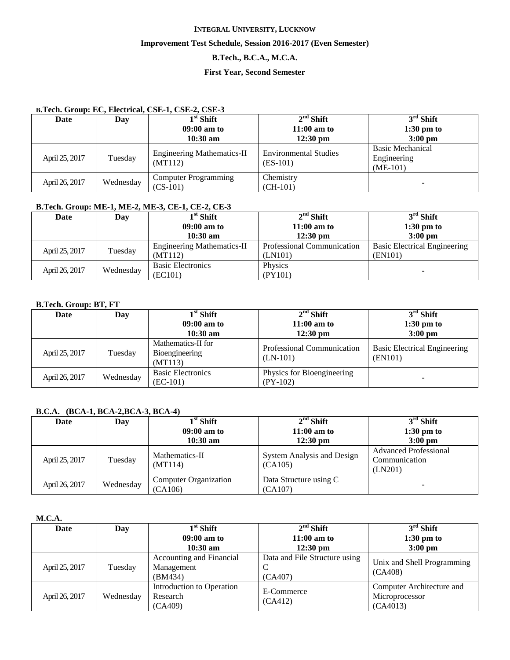## **INTEGRAL UNIVERSITY, LUCKNOW Improvement Test Schedule, Session 2016-2017 (Even Semester) B.Tech., B.C.A., M.C.A. First Year, Second Semester**

#### **B.Tech. Group: EC, Electrical, CSE-1, CSE-2, CSE-3**

| Date           | Day       | $1st$ Shift                                  | $2nd$ Shift                                | $3rd$ Shift                                          |
|----------------|-----------|----------------------------------------------|--------------------------------------------|------------------------------------------------------|
|                |           | $09:00$ am to                                | $11:00$ am to                              | $1:30 \text{ pm}$ to                                 |
|                |           | $10:30$ am                                   | $12:30 \text{ pm}$                         | $3:00 \text{ pm}$                                    |
| April 25, 2017 | Tuesday   | <b>Engineering Mathematics-II</b><br>(MT112) | <b>Environmental Studies</b><br>$(ES-101)$ | <b>Basic Mechanical</b><br>Engineering<br>$(ME-101)$ |
| April 26, 2017 | Wednesday | <b>Computer Programming</b><br>$(CS-101)$    | Chemistry<br>$(CH-101)$                    |                                                      |

#### **B.Tech. Group: ME-1, ME-2, ME-3, CE-1, CE-2, CE-3**

| Date           | Day       | $1st$ Shift                       | $2nd$ Shift                | $3rd$ Shift                         |
|----------------|-----------|-----------------------------------|----------------------------|-------------------------------------|
|                |           | $09:00$ am to                     | $11:00$ am to              | $1:30 \text{ pm}$ to                |
|                |           | $10:30$ am                        | $12:30$ pm                 | $3:00$ pm                           |
| April 25, 2017 | Tuesday   | <b>Engineering Mathematics-II</b> | Professional Communication | <b>Basic Electrical Engineering</b> |
|                |           | (MT112)                           | (LN101)                    | (EN101)                             |
|                |           | <b>Basic Electronics</b>          | Physics                    |                                     |
| April 26, 2017 | Wednesday | (EC101)                           | (PY101)                    | ۰                                   |

#### **B.Tech. Group: BT, FT**

| Date           | Day       | $1st$ Shift<br>$09:00$ am to<br>$10:30$ am      | $2nd$ Shift<br>$11:00$ am to<br>$12:30 \text{ pm}$ | $3rd$ Shift<br>$1:30 \text{ pm}$ to<br>$3:00 \text{ pm}$ |
|----------------|-----------|-------------------------------------------------|----------------------------------------------------|----------------------------------------------------------|
| April 25, 2017 | Tuesday   | Mathematics-II for<br>Bioengineering<br>(MT113) | Professional Communication<br>$(LN-101)$           | <b>Basic Electrical Engineering</b><br>(EN101)           |
| April 26, 2017 | Wednesday | <b>Basic Electronics</b><br>$(EC-101)$          | Physics for Bioengineering<br>(PY-102)             |                                                          |

#### **B.C.A. (BCA-1, BCA-2,BCA-3, BCA-4)**

| Date           | Day       | $1st$ Shift                             | $2nd$ Shift                           | $3rd$ Shift                                              |
|----------------|-----------|-----------------------------------------|---------------------------------------|----------------------------------------------------------|
|                |           | $09:00$ am to                           | $11:00$ am to                         | $1:30 \text{ pm}$ to                                     |
|                |           | $10:30$ am                              | $12:30 \text{ pm}$                    | $3:00 \text{ pm}$                                        |
| April 25, 2017 | Tuesday   | Mathematics-II<br>(MT114)               | System Analysis and Design<br>(CA105) | <b>Advanced Professional</b><br>Communication<br>(LN201) |
| April 26, 2017 | Wednesday | <b>Computer Organization</b><br>(CA106) | Data Structure using C<br>(CA107)     | $\blacksquare$                                           |

#### **M.C.A.**

| Date           | Day       | $1st$ Shift                                       | $2nd$ Shift                                   | $3rd$ Shift                                             |
|----------------|-----------|---------------------------------------------------|-----------------------------------------------|---------------------------------------------------------|
|                |           | $09:00$ am to                                     | $11:00$ am to                                 | $1:30 \text{ pm}$ to                                    |
|                |           | $10:30$ am                                        | $12:30 \text{ pm}$                            | $3:00 \text{ pm}$                                       |
| April 25, 2017 | Tuesday   | Accounting and Financial<br>Management<br>(BM434) | Data and File Structure using<br>C<br>(CA407) | Unix and Shell Programming<br>(CA408)                   |
| April 26, 2017 | Wednesday | Introduction to Operation<br>Research<br>(CA409)  | E-Commerce<br>(CA412)                         | Computer Architecture and<br>Microprocessor<br>(CA4013) |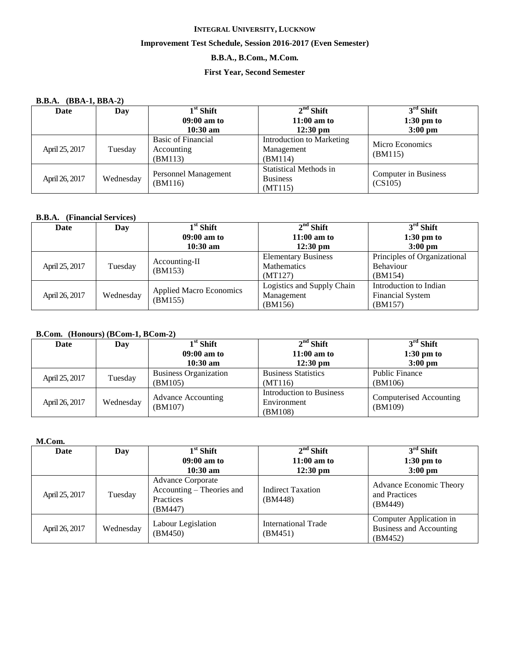## **INTEGRAL UNIVERSITY, LUCKNOW Improvement Test Schedule, Session 2016-2017 (Even Semester) B.B.A., B.Com., M.Com. First Year, Second Semester**

#### **B.B.A. (BBA-1, BBA-2)**

| Date           | Day       | $1st$ Shift                                        | $2nd$ Shift                                                 | $3rd$ Shift                     |
|----------------|-----------|----------------------------------------------------|-------------------------------------------------------------|---------------------------------|
|                |           | $09:00$ am to                                      | $11:00$ am to                                               | $1:30 \text{ pm}$ to            |
|                |           | $10:30$ am                                         | $12:30 \text{ pm}$                                          | $3:00 \text{ pm}$               |
| April 25, 2017 | Tuesday   | <b>Basic of Financial</b><br>Accounting<br>(BM113) | Introduction to Marketing<br>Management<br>(BM114)          | Micro Economics<br>(BM115)      |
| April 26, 2017 | Wednesday | Personnel Management<br>(BM116)                    | <b>Statistical Methods in</b><br><b>Business</b><br>(MT115) | Computer in Business<br>(CS105) |

#### **B.B.A. (Financial Services)**

| Date           | Day       | $1st$ Shift                    | $2nd$ Shift                | $3rd$ Shift                        |
|----------------|-----------|--------------------------------|----------------------------|------------------------------------|
|                |           | $09:00$ am to                  | $11:00$ am to              | $1:30 \text{ pm}$ to               |
|                |           | $10:30$ am                     | $12:30 \text{ pm}$         | $3:00 \text{ pm}$                  |
|                |           | Accounting-II                  | <b>Elementary Business</b> | Principles of Organizational       |
| April 25, 2017 | Tuesday   | (BM153)                        | <b>Mathematics</b>         | <b>Behaviour</b>                   |
|                |           |                                | (MT127)                    | (BM154)                            |
|                |           | <b>Applied Macro Economics</b> | Logistics and Supply Chain | Introduction to Indian             |
| April 26, 2017 | Wednesday | (BM155)                        | Management                 | <b>Financial System</b><br>(BM157) |
|                |           |                                | (BM156)                    |                                    |

#### **B.Com. (Honours) (BCom-1, BCom-2)**

| Date           | Day       | $1^{\rm st}$ Shift                   | $2nd$ Shift                                        | $3rd$ Shift                        |
|----------------|-----------|--------------------------------------|----------------------------------------------------|------------------------------------|
|                |           | $09:00$ am to                        | $11:00$ am to                                      | $1:30 \text{ pm}$ to               |
|                |           | $10:30$ am                           | $12:30 \text{ pm}$                                 | $3:00 \text{ pm}$                  |
| April 25, 2017 | Tuesday   | <b>Business Organization</b>         | <b>Business Statistics</b>                         | Public Finance                     |
|                |           | (BM105)                              | (MT116)                                            | (BM106)                            |
| April 26, 2017 | Wednesday | <b>Advance Accounting</b><br>(BM107) | Introduction to Business<br>Environment<br>(BM108) | Computerised Accounting<br>(BM109) |

#### **M.Com.**

| Date           | Day       | $1st$ Shift                                                                   | $2nd$ Shift                           | $3rd$ Shift                                                   |
|----------------|-----------|-------------------------------------------------------------------------------|---------------------------------------|---------------------------------------------------------------|
|                |           | $09:00$ am to                                                                 | $11:00$ am to                         | $1:30$ pm to                                                  |
|                |           | $10:30 \text{ am}$                                                            | $12:30 \text{ pm}$                    | $3:00 \text{ pm}$                                             |
| April 25, 2017 | Tuesday   | <b>Advance Corporate</b><br>Accounting – Theories and<br>Practices<br>(BM447) | <b>Indirect Taxation</b><br>(BM448)   | Advance Economic Theory<br>and Practices<br>(BM449)           |
| April 26, 2017 | Wednesday | Labour Legislation<br>(BM450)                                                 | <b>International Trade</b><br>(BM451) | Computer Application in<br>Business and Accounting<br>(BM452) |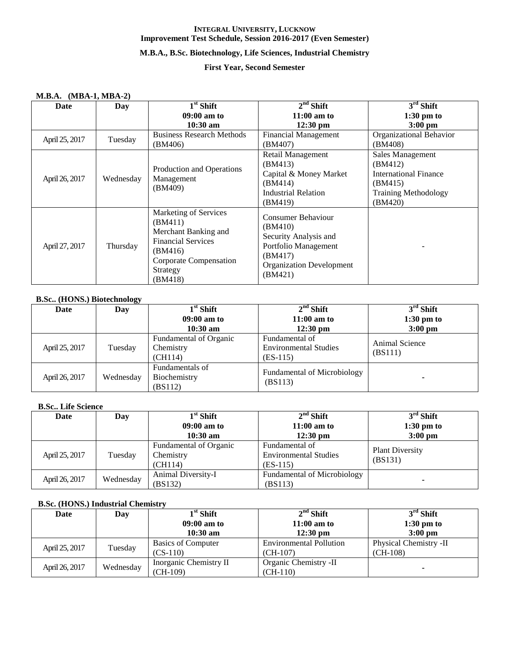### **M.B.A., B.Sc. Biotechnology, Life Sciences, Industrial Chemistry**

#### **First Year, Second Semester**

#### **M.B.A. (MBA-1, MBA-2)**

| Date           | Day       | $1st$ Shift                                                                                                                                       | $2nd$ Shift                                                                                                                             | $3rd$ Shift                                                                                                                 |
|----------------|-----------|---------------------------------------------------------------------------------------------------------------------------------------------------|-----------------------------------------------------------------------------------------------------------------------------------------|-----------------------------------------------------------------------------------------------------------------------------|
|                |           | $09:00$ am to                                                                                                                                     | $11:00$ am to                                                                                                                           | $1:30 \text{ pm}$ to                                                                                                        |
|                |           | $10:30$ am                                                                                                                                        | $12:30 \text{ pm}$                                                                                                                      | $3:00$ pm                                                                                                                   |
| April 25, 2017 | Tuesday   | <b>Business Research Methods</b>                                                                                                                  | <b>Financial Management</b>                                                                                                             | Organizational Behavior                                                                                                     |
| April 26, 2017 | Wednesday | (BM406)<br>Production and Operations<br>Management<br>(BM409)                                                                                     | (BM407)<br>Retail Management<br>(BM413)<br>Capital & Money Market<br>(BM414)<br><b>Industrial Relation</b><br>(BM419)                   | (BM408)<br>Sales Management<br>(BM412)<br><b>International Finance</b><br>(BM415)<br><b>Training Methodology</b><br>(BM420) |
| April 27, 2017 | Thursday  | Marketing of Services<br>(BM411)<br>Merchant Banking and<br><b>Financial Services</b><br>(BM416)<br>Corporate Compensation<br>Strategy<br>(BM418) | Consumer Behaviour<br>(BM410)<br>Security Analysis and<br>Portfolio Management<br>(BM417)<br><b>Organization Development</b><br>(BM421) |                                                                                                                             |

#### **B.Sc.. (HONS.) Biotechnology**

| Date           | $\sim$<br>Day | $1st$ Shift                                    | $2nd$ Shift                                                  | $3rd$ Shift                               |
|----------------|---------------|------------------------------------------------|--------------------------------------------------------------|-------------------------------------------|
|                |               | $09:00$ am to<br>$10:30$ am                    | $11:00$ am to<br>$12:30 \text{ pm}$                          | $1:30 \text{ pm}$ to<br>$3:00 \text{ pm}$ |
| April 25, 2017 | Tuesday       | Fundamental of Organic<br>Chemistry<br>(CH114) | Fundamental of<br><b>Environmental Studies</b><br>$(ES-115)$ | Animal Science<br>(BS111)                 |
| April 26, 2017 | Wednesday     | Fundamentals of<br>Biochemistry<br>(BS112)     | <b>Fundamental of Microbiology</b><br>(BS113)                |                                           |

#### **B.Sc.. Life Science**

| Date           | Day       | $1st$ Shift                                    | $2nd$ Shift                                                  | $3rd$ Shift                       |
|----------------|-----------|------------------------------------------------|--------------------------------------------------------------|-----------------------------------|
|                |           | $09:00$ am to                                  | $11:00$ am to                                                | $1:30 \text{ pm}$ to              |
|                |           | $10:30$ am                                     | $12:30 \text{ pm}$                                           | $3:00 \text{ pm}$                 |
| April 25, 2017 | Tuesday   | Fundamental of Organic<br>Chemistry<br>(CH114) | Fundamental of<br><b>Environmental Studies</b><br>$(ES-115)$ | <b>Plant Diversity</b><br>(BS131) |
| April 26, 2017 | Wednesday | Animal Diversity-I<br>(BS132)                  | <b>Fundamental of Microbiology</b><br>(BS113)                |                                   |

#### **B.Sc. (HONS.) Industrial Chemistry**

| Date           | Day       | $1st$ Shift               | $2nd$ Shift                    | $3rd$ Shift            |
|----------------|-----------|---------------------------|--------------------------------|------------------------|
|                |           | $09:00$ am to             | $11:00$ am to                  | $1:30 \text{ pm}$ to   |
|                |           | $10:30$ am                | $12:30 \text{ pm}$             | $3:00 \text{ pm}$      |
|                |           | <b>Basics of Computer</b> | <b>Environmental Pollution</b> | Physical Chemistry -II |
| April 25, 2017 | Tuesday   | $(CS-110)$                | $(CH-107)$                     | $(CH-108)$             |
|                |           | Inorganic Chemistry II    | Organic Chemistry -II          |                        |
| April 26, 2017 | Wednesday | $(CH-109)$                | $(CH-110)$                     |                        |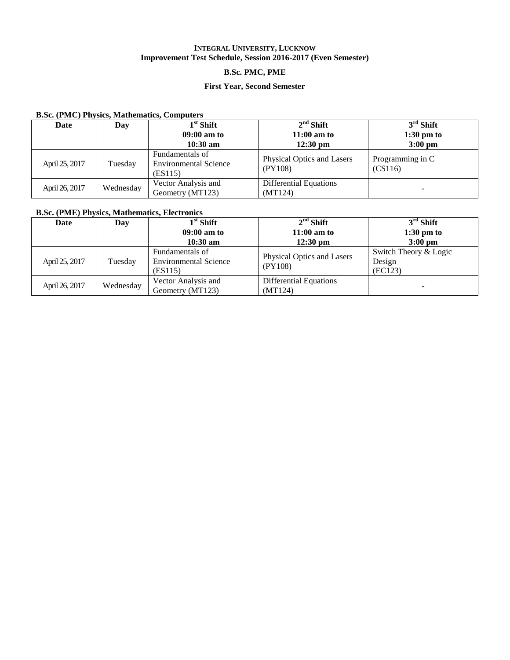### **B.Sc. PMC, PME**

#### **First Year, Second Semester**

#### **B.Sc. (PMC) Physics, Mathematics, Computers**

| Date           | Day       | $1st$ Shift                                                | $2nd$ Shift                              | $3rd$ Shift                 |
|----------------|-----------|------------------------------------------------------------|------------------------------------------|-----------------------------|
|                |           | $09:00$ am to                                              | $11:00$ am to                            | $1:30 \text{ pm}$ to        |
|                |           | $10:30$ am                                                 | $12:30$ pm                               | $3:00 \text{ pm}$           |
| April 25, 2017 | Tuesday   | Fundamentals of<br><b>Environmental Science</b><br>(ES115) | Physical Optics and Lasers<br>(PY108)    | Programming in C<br>(CS116) |
| April 26, 2017 | Wednesday | Vector Analysis and<br>Geometry (MT123)                    | <b>Differential Equations</b><br>(MT124) |                             |

#### **B.Sc. (PME) Physics, Mathematics, Electronics**

| Date           | Day       | $1st$ Shift                  | $2nd$ Shift                | $3rd$ Shift           |
|----------------|-----------|------------------------------|----------------------------|-----------------------|
|                |           | $09:00$ am to                | $11:00$ am to              | $1:30 \text{ pm}$ to  |
|                |           | $10:30$ am                   | $12:30 \text{ pm}$         | $3:00 \text{ pm}$     |
|                |           | Fundamentals of              | Physical Optics and Lasers | Switch Theory & Logic |
| April 25, 2017 | Tuesday   | <b>Environmental Science</b> | (PY108)                    | Design                |
|                |           | (ES115)                      |                            | (EC123)               |
|                |           | Vector Analysis and          | Differential Equations     |                       |
| April 26, 2017 | Wednesday | Geometry (MT123)             | (MT124)                    |                       |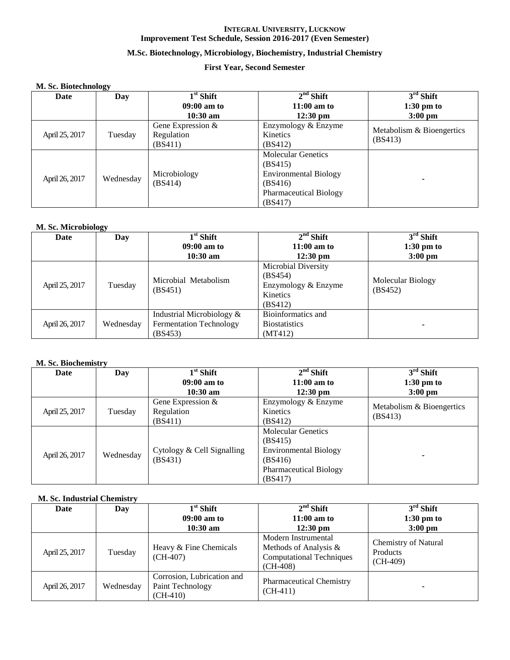### **M.Sc. Biotechnology, Microbiology, Biochemistry, Industrial Chemistry**

#### **First Year, Second Semester**

#### **M. Sc. Biotechnology**

| $\sim$<br>Date | Day       | $1st$ Shift         | $2nd$ Shift                   | $3rd$ Shift                          |
|----------------|-----------|---------------------|-------------------------------|--------------------------------------|
|                |           | $09:00$ am to       | $11:00$ am to                 | $1:30$ pm to                         |
|                |           | $10:30$ am          | $12:30 \text{ pm}$            | $3:00 \text{ pm}$                    |
|                |           | Gene Expression $&$ | Enzymology $&$ Enzyme         |                                      |
| April 25, 2017 | Tuesday   | Regulation          | Kinetics                      | Metabolism & Bioengertics<br>(BS413) |
|                |           | (BS411)             | (BS412)                       |                                      |
|                |           |                     | <b>Molecular Genetics</b>     |                                      |
|                |           |                     | (BS415)                       |                                      |
| April 26, 2017 |           | Microbiology        | <b>Environmental Biology</b>  |                                      |
|                | Wednesday | (BS414)             | (BS416)                       | -                                    |
|                |           |                     | <b>Pharmaceutical Biology</b> |                                      |
|                |           |                     | (BS417)                       |                                      |

#### **M. Sc. Microbiology**

| Date           | Day       | $1st$ Shift                    | $2nd$ Shift          | $3rd$ Shift                  |
|----------------|-----------|--------------------------------|----------------------|------------------------------|
|                |           | $09:00$ am to                  | $11:00$ am to        | $1:30 \text{ pm}$ to         |
|                |           | $10:30$ am                     | $12:30 \text{ pm}$   | $3:00$ pm                    |
|                |           |                                | Microbial Diversity  |                              |
|                |           | Microbial Metabolism           | (BS454)              | Molecular Biology<br>(BS452) |
| April 25, 2017 | Tuesday   | (BS451)                        | Enzymology & Enzyme  |                              |
|                |           |                                | Kinetics             |                              |
|                |           |                                | (BS412)              |                              |
|                |           | Industrial Microbiology &      | Bioinformatics and   |                              |
| April 26, 2017 | Wednesday | <b>Fermentation Technology</b> | <b>Biostatistics</b> |                              |
|                |           | (BS453)                        | (MT412)              |                              |

#### **M. Sc. Biochemistry**

| Date           | Day       | $1st$ Shift                | $2nd$ Shift                   | $3rd$ Shift                          |
|----------------|-----------|----------------------------|-------------------------------|--------------------------------------|
|                |           | $09:00$ am to              | $11:00$ am to                 | $1:30 \text{ pm}$ to                 |
|                |           | $10:30$ am                 | $12:30 \text{ pm}$            | $3:00 \text{ pm}$                    |
|                |           | Gene Expression &          | Enzymology & Enzyme           |                                      |
| April 25, 2017 | Tuesday   | Regulation                 | Kinetics                      | Metabolism & Bioengertics<br>(BS413) |
|                |           | (BS411)                    | (BS412)                       |                                      |
|                |           |                            | <b>Molecular Genetics</b>     |                                      |
|                |           |                            | (BS415)                       |                                      |
|                |           | Cytology & Cell Signalling | <b>Environmental Biology</b>  |                                      |
| April 26, 2017 | Wednesday | (BS431)                    | (BS416)                       |                                      |
|                |           |                            | <b>Pharmaceutical Biology</b> |                                      |
|                |           |                            | (BS417)                       |                                      |

#### **M. Sc. Industrial Chemistry**

| Date           | Day       | $1st$ Shift                                                  | $2nd$ Shift                                                                                   | $3rd$ Shift                                    |
|----------------|-----------|--------------------------------------------------------------|-----------------------------------------------------------------------------------------------|------------------------------------------------|
|                |           | $09:00$ am to                                                | $11:00$ am to                                                                                 | $1:30$ pm to                                   |
|                |           | $10:30$ am                                                   | $12:30 \text{ pm}$                                                                            | $3:00 \text{ pm}$                              |
| April 25, 2017 | Tuesday   | Heavy & Fine Chemicals<br>$(CH-407)$                         | Modern Instrumental<br>Methods of Analysis &<br><b>Computational Techniques</b><br>$(CH-408)$ | Chemistry of Natural<br>Products<br>$(CH-409)$ |
| April 26, 2017 | Wednesday | Corrosion, Lubrication and<br>Paint Technology<br>$(CH-410)$ | <b>Pharmaceutical Chemistry</b><br>$(CH-411)$                                                 |                                                |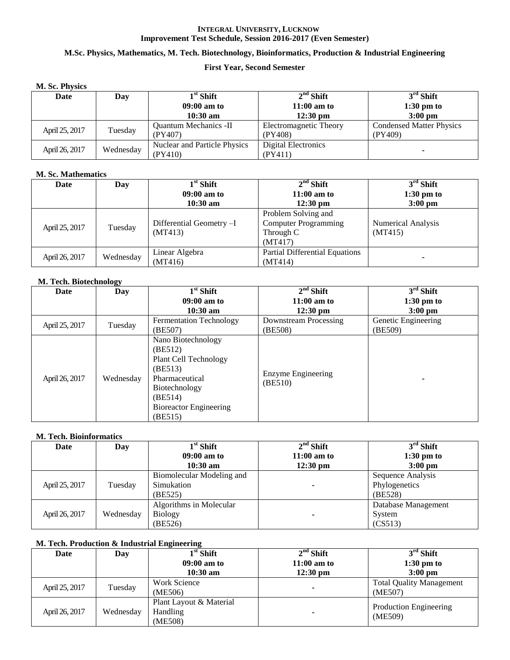#### **M.Sc. Physics, Mathematics, M. Tech. Biotechnology, Bioinformatics, Production & Industrial Engineering**

#### **First Year, Second Semester**

#### **M. Sc. Physics**

| 111.001111100  |           |                              |                        |                                 |  |
|----------------|-----------|------------------------------|------------------------|---------------------------------|--|
| Date           | Day       | $1st$ Shift                  | $2nd$ Shift            | $3rd$ Shift                     |  |
|                |           | $09:00$ am to                | $11:00$ am to          | $1:30 \text{ pm}$ to            |  |
|                |           | $10:30$ am                   | $12:30$ pm             | $3:00$ pm                       |  |
| April 25, 2017 | Tuesday   | <b>Ouantum Mechanics -II</b> | Electromagnetic Theory | <b>Condensed Matter Physics</b> |  |
|                |           | (PY407)                      | (PY408)                | (PY409)                         |  |
|                |           | Nuclear and Particle Physics | Digital Electronics    |                                 |  |
| April 26, 2017 | Wednesday | (PY410)                      | (PY411)                |                                 |  |

#### **M. Sc. Mathematics**

| Date           | Day       | $1st$ Shift              | $2nd$ Shift                           | $3rd$ Shift               |
|----------------|-----------|--------------------------|---------------------------------------|---------------------------|
|                |           | $09:00$ am to            | $11:00$ am to                         | $1:30 \text{ pm to}$      |
|                |           | $10:30 \text{ am}$       | $12:30 \text{ pm}$                    | $3:00 \text{ pm}$         |
|                |           |                          | Problem Solving and                   |                           |
| April 25, 2017 | Tuesday   | Differential Geometry -I | <b>Computer Programming</b>           | <b>Numerical Analysis</b> |
|                |           | (MT413)                  | Through C                             | (MT415)                   |
|                |           |                          | (MT417)                               |                           |
|                |           | Linear Algebra           | <b>Partial Differential Equations</b> |                           |
| April 26, 2017 | Wednesday | (MT416)                  | (MT414)                               | $\blacksquare$            |

#### **M. Tech. Biotechnology**

| Date           | Day       | $1st$ Shift                                                                                                                                                 | $2nd$ Shift                          | $\overline{3}^{\rm rd}$ Shift |
|----------------|-----------|-------------------------------------------------------------------------------------------------------------------------------------------------------------|--------------------------------------|-------------------------------|
|                |           | $09:00$ am to                                                                                                                                               | $11:00$ am to                        | $1:30 \text{ pm}$ to          |
|                |           | $10:30 \text{ am}$                                                                                                                                          | $12:30 \text{ pm}$                   | $3:00$ pm                     |
| April 25, 2017 | Tuesday   | <b>Fermentation Technology</b>                                                                                                                              | Downstream Processing                | Genetic Engineering           |
|                |           | (BE507)                                                                                                                                                     | (BE508)                              | (BE509)                       |
| April 26, 2017 | Wednesday | Nano Biotechnology<br>(BE512)<br>Plant Cell Technology<br>(BE513)<br>Pharmaceutical<br>Biotechnology<br>(BE514)<br><b>Bioreactor Engineering</b><br>(BE515) | <b>Enzyme Engineering</b><br>(BE510) |                               |

#### **M. Tech. Bioinformatics**

| Date           | Day       | $1st$ Shift               | $2nd$ Shift        | $3rd$ Shift          |
|----------------|-----------|---------------------------|--------------------|----------------------|
|                |           | $09:00$ am to             | $11:00$ am to      | $1:30 \text{ pm}$ to |
|                |           | $10:30$ am                | $12:30 \text{ pm}$ | $3:00 \text{ pm}$    |
|                |           | Biomolecular Modeling and |                    | Sequence Analysis    |
| April 25, 2017 | Tuesday   | Simukation                |                    | Phylogenetics        |
|                |           | (BE525)                   |                    | (BE528)              |
|                |           | Algorithms in Molecular   |                    | Database Management  |
| April 26, 2017 | Wednesday | <b>Biology</b>            |                    | System               |
|                |           | (BE526)                   |                    | (CS513)              |

#### **M. Tech. Production & Industrial Engineering**

| Date           | Day       | $1st$ Shift                                           | $2nd$ Shift        | $3rd$ Shift                                |
|----------------|-----------|-------------------------------------------------------|--------------------|--------------------------------------------|
|                |           | $09:00$ am to                                         | $11:00$ am to      | $1:30 \text{ pm}$ to                       |
|                |           | $10:30$ am                                            | $12:30 \text{ pm}$ | $3:00 \text{ pm}$                          |
| April 25, 2017 | Tuesday   | Work Science<br>(ME506)                               |                    | <b>Total Quality Management</b><br>(ME507) |
| April 26, 2017 | Wednesday | Plant Layout & Material<br><b>Handling</b><br>(ME508) |                    | Production Engineering<br>(ME509)          |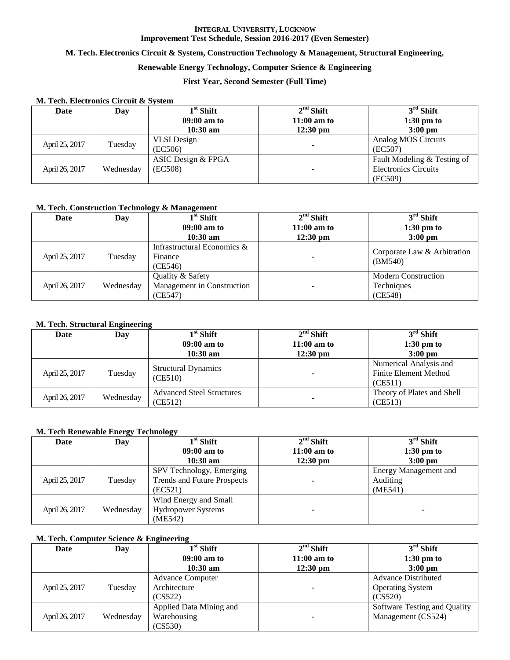#### **M. Tech. Electronics Circuit & System, Construction Technology & Management, Structural Engineering,**

#### **Renewable Energy Technology, Computer Science & Engineering**

#### **First Year, Second Semester (Full Time)**

| <u><b>171. I cent Enecu omes Circuit &amp; Bysicm</b></u> |           |                    |                    |                             |
|-----------------------------------------------------------|-----------|--------------------|--------------------|-----------------------------|
| Date                                                      | Day       | $1st$ Shift        | $2nd$ Shift        | $3rd$ Shift                 |
|                                                           |           | $09:00$ am to      | $11:00$ am to      | $1:30 \text{ pm}$ to        |
|                                                           |           | $10:30$ am         | $12:30 \text{ pm}$ | $3:00$ pm                   |
| April 25, 2017                                            | Tuesday   | <b>VLSI</b> Design |                    | Analog MOS Circuits         |
|                                                           |           | (EC506)            |                    | (EC507)                     |
|                                                           |           | ASIC Design & FPGA |                    | Fault Modeling & Testing of |
| April 26, 2017                                            | Wednesday | (EC508)            |                    | <b>Electronics Circuits</b> |
|                                                           |           |                    |                    | (EC509)                     |

#### **M. Tech. Electronics Circuit & System**

#### **M. Tech. Construction Technology & Management**

| Date           | Day       | $1st$ Shift                                               | $2nd$ Shift        | $3rd$ Shift                                         |
|----------------|-----------|-----------------------------------------------------------|--------------------|-----------------------------------------------------|
|                |           | $09:00$ am to                                             | $11:00$ am to      | $1:30 \text{ pm}$ to                                |
|                |           | $10:30$ am                                                | $12:30 \text{ pm}$ | $3:00 \text{ pm}$                                   |
| April 25, 2017 | Tuesday   | Infrastructural Economics &<br>Finance<br>(CE546)         |                    | Corporate Law & Arbitration<br>(BM540)              |
| April 26, 2017 | Wednesday | Quality & Safety<br>Management in Construction<br>(CE547) |                    | <b>Modern Construction</b><br>Techniques<br>(CE548) |

#### **M. Tech. Structural Engineering**

| Date           | Day       | $1st$ Shift                                 | $2nd$ Shift        | $3rd$ Shift                                                |
|----------------|-----------|---------------------------------------------|--------------------|------------------------------------------------------------|
|                |           | $09:00$ am to                               | $11:00$ am to      | $1:30 \text{ pm}$ to                                       |
|                |           | $10:30$ am                                  | $12:30 \text{ pm}$ | $3:00 \text{ pm}$                                          |
| April 25, 2017 | Tuesday   | <b>Structural Dynamics</b><br>(CE510)       |                    | Numerical Analysis and<br>Finite Element Method<br>(CE511) |
| April 26, 2017 | Wednesday | <b>Advanced Steel Structures</b><br>(CE512) |                    | Theory of Plates and Shell<br>(CE513)                      |

#### **M. Tech Renewable Energy Technology**

| Date           | ັ<br>Day  | $1st$ Shift                        | $2nd$ Shift        | $3rd$ Shift                  |
|----------------|-----------|------------------------------------|--------------------|------------------------------|
|                |           | 09:00 am to                        | $11:00$ am to      | $1:30 \text{ pm}$ to         |
|                |           | $10:30$ am                         | $12:30 \text{ pm}$ | $3:00 \text{ pm}$            |
|                |           | SPV Technology, Emerging           |                    | <b>Energy Management and</b> |
| April 25, 2017 | Tuesday   | <b>Trends and Future Prospects</b> |                    | Auditing                     |
|                |           | (EC521)                            |                    | (ME541)                      |
|                |           | Wind Energy and Small              |                    |                              |
| April 26, 2017 | Wednesday | <b>Hydropower Systems</b>          |                    |                              |
|                |           | (ME542)                            |                    |                              |

#### **M. Tech. Computer Science & Engineering**

| Date           | Day       | $1st$ Shift             | $2nd$ Shift        | $3rd$ Shift                  |
|----------------|-----------|-------------------------|--------------------|------------------------------|
|                |           | $09:00$ am to           | $11:00$ am to      | $1:30 \text{ pm}$ to         |
|                |           | $10:30$ am              | $12:30 \text{ pm}$ | $3:00$ pm                    |
|                |           | <b>Advance Computer</b> |                    | <b>Advance Distributed</b>   |
| April 25, 2017 | Tuesday   | Architecture            |                    | <b>Operating System</b>      |
|                |           | (CS522)                 |                    | (CS520)                      |
|                |           | Applied Data Mining and |                    | Software Testing and Quality |
| April 26, 2017 | Wednesday | Warehousing             | -                  | Management (CS524)           |
|                |           | (CS530)                 |                    |                              |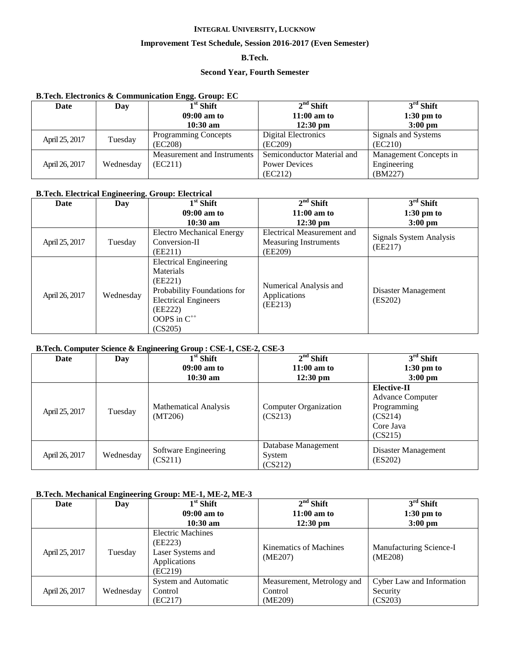#### **Improvement Test Schedule, Session 2016-2017 (Even Semester)**

#### **B.Tech.**

#### **Second Year, Fourth Semester**

#### **B.Tech. Electronics & Communication Engg. Group: EC**

| Date           | Day       | $1st$ Shift                 | $2nd$ Shift                | $3rd$ Shift            |
|----------------|-----------|-----------------------------|----------------------------|------------------------|
|                |           | 09:00 am to                 | $11:00$ am to              | $1:30 \text{ pm}$ to   |
|                |           | $10:30$ am                  | $12:30 \text{ pm}$         | $3:00 \text{ pm}$      |
| April 25, 2017 | Tuesday   | <b>Programming Concepts</b> | Digital Electronics        | Signals and Systems    |
|                |           | (EC208)                     | (EC209)                    | (EC210)                |
|                |           | Measurement and Instruments | Semiconductor Material and | Management Concepts in |
| April 26, 2017 | Wednesday | (EC211)                     | <b>Power Devices</b>       | Engineering            |
|                |           |                             | (EC212)                    | (BM227)                |

#### **B.Tech. Electrical Engineering. Group: Electrical**

| Date           | Day       | $1st$ Shift                                                                                                                                                                 | $2nd$ Shift                                                           | $3rd$ Shift                        |
|----------------|-----------|-----------------------------------------------------------------------------------------------------------------------------------------------------------------------------|-----------------------------------------------------------------------|------------------------------------|
|                |           | $09:00$ am to                                                                                                                                                               | $11:00$ am to                                                         | $1:30$ pm to                       |
|                |           | $10:30$ am                                                                                                                                                                  | $12:30 \text{ pm}$                                                    | $3:00 \text{ pm}$                  |
| April 25, 2017 | Tuesday   | <b>Electro Mechanical Energy</b><br>Conversion-II<br>(EE211)                                                                                                                | Electrical Measurement and<br><b>Measuring Instruments</b><br>(EE209) | Signals System Analysis<br>(EE217) |
| April 26, 2017 | Wednesdav | <b>Electrical Engineering</b><br><b>Materials</b><br>(EE221)<br>Probability Foundations for<br><b>Electrical Engineers</b><br>(EE222)<br>OOPS in C <sup>++</sup><br>(CS205) | Numerical Analysis and<br>Applications<br>(EE213)                     | Disaster Management<br>(ES202)     |

#### **B.Tech. Computer Science & Engineering Group : CSE-1, CSE-2, CSE-3**

| Date           | Day       | -<br>-<br>$1st$ Shift        | $2nd$ Shift           | $3rd$ Shift             |
|----------------|-----------|------------------------------|-----------------------|-------------------------|
|                |           | $09:00$ am to                | $11:00$ am to         | $1:30 \text{ pm}$ to    |
|                |           | $10:30$ am                   | $12:30 \text{ pm}$    | $3:00$ pm               |
|                |           |                              |                       | Elective-II             |
|                |           |                              |                       | <b>Advance Computer</b> |
| April 25, 2017 | Tuesday   | <b>Mathematical Analysis</b> | Computer Organization | Programming             |
|                |           | (MT206)                      | (CS213)               | (CS214)                 |
|                |           |                              |                       | Core Java               |
|                |           |                              |                       | (CS215)                 |
|                |           | Software Engineering         | Database Management   | Disaster Management     |
| April 26, 2017 | Wednesday | (CS211)                      | System                | (ES202)                 |
|                |           |                              | (CS212)               |                         |

#### **B.Tech. Mechanical Engineering Group: ME-1, ME-2, ME-3**

| Date           | Day       | $1st$ Shift                                                                         | $2nd$ Shift                                      | $3rd$ Shift                                      |
|----------------|-----------|-------------------------------------------------------------------------------------|--------------------------------------------------|--------------------------------------------------|
|                |           | $09:00$ am to                                                                       | $11:00$ am to                                    | $1:30$ pm to                                     |
|                |           | $10:30$ am                                                                          | $12:30 \text{ pm}$                               | $3:00 \text{ pm}$                                |
| April 25, 2017 | Tuesday   | <b>Electric Machines</b><br>(EE223)<br>Laser Systems and<br>Applications<br>(EC219) | Kinematics of Machines<br>(ME207)                | Manufacturing Science-I<br>(ME208)               |
| April 26, 2017 | Wednesday | System and Automatic<br>Control<br>(EC217)                                          | Measurement, Metrology and<br>Control<br>(ME209) | Cyber Law and Information<br>Security<br>(CS203) |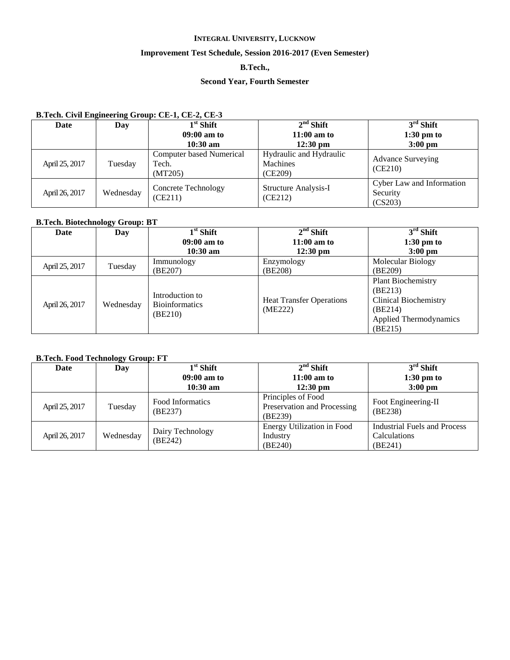#### **Improvement Test Schedule, Session 2016-2017 (Even Semester)**

#### **B.Tech.,**

#### **Second Year, Fourth Semester**

#### **B.Tech. Civil Engineering Group: CE-1, CE-2, CE-3**

| Date           | Day       | $1st$ Shift                                         | $2nd$ Shift                                    | $3rd$ Shift                                      |
|----------------|-----------|-----------------------------------------------------|------------------------------------------------|--------------------------------------------------|
|                |           | $09:00$ am to                                       | $11:00$ am to                                  | $1:30 \text{ pm}$ to                             |
|                |           | $10:30$ am                                          | $12:30 \text{ pm}$                             | $3:00 \text{ pm}$                                |
| April 25, 2017 | Tuesday   | <b>Computer based Numerical</b><br>Tech.<br>(MT205) | Hydraulic and Hydraulic<br>Machines<br>(CE209) | <b>Advance Surveying</b><br>(CE210)              |
| April 26, 2017 | Wednesday | Concrete Technology<br>(CE211)                      | <b>Structure Analysis-I</b><br>(CE212)         | Cyber Law and Information<br>Security<br>(CS203) |

#### **B.Tech. Biotechnology Group: BT**

| Date           | $\tilde{}$<br>Day | $1st$ Shift           | $2nd$ Shift                     | $3rd$ Shift                                                                             |
|----------------|-------------------|-----------------------|---------------------------------|-----------------------------------------------------------------------------------------|
|                |                   | $09:00$ am to         | $11:00$ am to                   | $1:30 \text{ pm}$ to                                                                    |
|                |                   | $10:30$ am            | $12:30 \text{ pm}$              | $3:00 \text{ pm}$                                                                       |
|                | Tuesday           | Immunology            | Enzymology                      | Molecular Biology                                                                       |
| April 25, 2017 |                   | (BE207)               | (BE208)                         | (BE209)                                                                                 |
|                |                   |                       |                                 | <b>Plant Biochemistry</b>                                                               |
| April 26, 2017 |                   | Introduction to       |                                 | (BE213)<br>Clinical Biochemistry<br>(BE214)<br><b>Applied Thermodynamics</b><br>(BE215) |
|                |                   | <b>Bioinformatics</b> | <b>Heat Transfer Operations</b> |                                                                                         |
|                | Wednesday         |                       | (ME222)                         |                                                                                         |
|                |                   | (BE210)               |                                 |                                                                                         |
|                |                   |                       |                                 |                                                                                         |

#### **B.Tech. Food Technology Group: FT**

| Date           | $\sim$ $ \sim$<br>Day | $1st$ Shift<br>$09:00$ am to<br>$10:30$ am | $2nd$ Shift<br>$11:00$ am to<br>$12:30 \text{ pm}$           | $3rd$ Shift<br>$1:30 \text{ pm}$ to<br>$3:00 \text{ pm}$ |
|----------------|-----------------------|--------------------------------------------|--------------------------------------------------------------|----------------------------------------------------------|
| April 25, 2017 | Tuesday               | Food Informatics<br>(BE237)                | Principles of Food<br>Preservation and Processing<br>(BE239) | Foot Engineering-II<br>(BE238)                           |
| April 26, 2017 | Wednesday             | Dairy Technology<br>(BE242)                | Energy Utilization in Food<br>Industry<br>(BE240)            | Industrial Fuels and Process<br>Calculations<br>(BE241)  |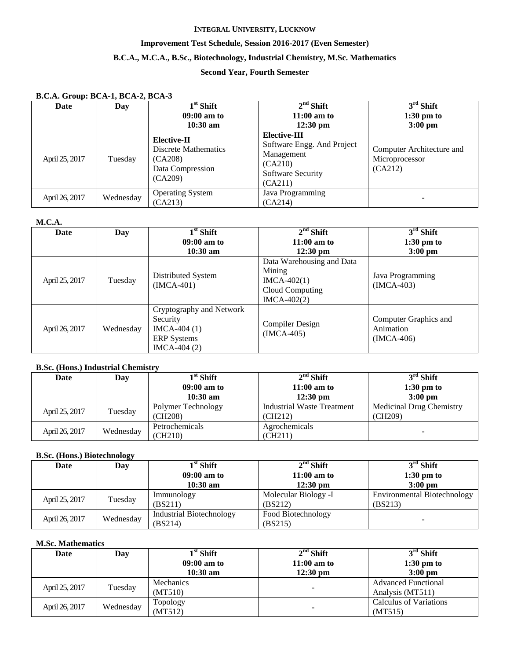#### **Improvement Test Schedule, Session 2016-2017 (Even Semester)**

#### **B.C.A., M.C.A., B.Sc., Biotechnology, Industrial Chemistry, M.Sc. Mathematics**

#### **Second Year, Fourth Semester**

| B.C.A. Group: BCA-1, BCA-2, BCA-3 |           |                                                                                      |                                                                                                            |                                                        |  |
|-----------------------------------|-----------|--------------------------------------------------------------------------------------|------------------------------------------------------------------------------------------------------------|--------------------------------------------------------|--|
| Date                              | Day       | $1st$ Shift                                                                          | $2nd$ Shift                                                                                                | $3rd$ Shift                                            |  |
|                                   |           | $09:00$ am to                                                                        | $11:00$ am to                                                                                              | $1:30 \text{ pm}$ to                                   |  |
|                                   |           | $10:30$ am                                                                           | $12:30 \text{ pm}$                                                                                         | $3:00 \text{ pm}$                                      |  |
| April 25, 2017                    | Tuesday   | Elective-II<br><b>Discrete Mathematics</b><br>(CA208)<br>Data Compression<br>(CA209) | <b>Elective-III</b><br>Software Engg. And Project<br>Management<br>(CA210)<br>Software Security<br>(CA211) | Computer Architecture and<br>Microprocessor<br>(CA212) |  |
| April 26, 2017                    | Wednesday | <b>Operating System</b><br>(CA213)                                                   | Java Programming<br>(CA214)                                                                                |                                                        |  |

## **B.C.A. Group: BCA-1, BCA-2, BCA-3**

#### **M.C.A.**

| Date           | Day       | $1st$ Shift                                                                                 | $2nd$ Shift                                                                              | $3rd$ Shift                                        |
|----------------|-----------|---------------------------------------------------------------------------------------------|------------------------------------------------------------------------------------------|----------------------------------------------------|
|                |           | $09:00$ am to                                                                               | $11:00$ am to                                                                            | $1:30 \text{ pm}$ to                               |
|                |           | $10:30$ am                                                                                  | $12:30 \text{ pm}$                                                                       | $3:00$ pm                                          |
| April 25, 2017 | Tuesday   | Distributed System<br>$(IMCA-401)$                                                          | Data Warehousing and Data<br>Mining<br>$IMCA-402(1)$<br>Cloud Computing<br>$IMCA-402(2)$ | Java Programming<br>$IMCA-403)$                    |
| April 26, 2017 | Wednesday | Cryptography and Network<br>Security<br>$IMCA-404(1)$<br><b>ERP</b> Systems<br>IMCA-404 (2) | Compiler Design<br>$IMCA-405)$                                                           | Computer Graphics and<br>Animation<br>$(IMCA-406)$ |

#### **B.Sc. (Hons.) Industrial Chemistry**

| Date           | Day       | $1st$ Shift        | $2nd$ Shift                | $3rd$ Shift              |
|----------------|-----------|--------------------|----------------------------|--------------------------|
|                |           | $09:00$ am to      | $11:00$ am to              | $1:30 \text{ pm}$ to     |
|                |           | $10:30$ am         | $12:30 \text{ pm}$         | $3:00$ pm                |
|                |           | Polymer Technology | Industrial Waste Treatment | Medicinal Drug Chemistry |
| April 25, 2017 | Tuesday   | (CH208)            | (CH212)                    | (CH <sub>209</sub> )     |
|                | Wednesday | Petrochemicals     | Agrochemicals              |                          |
| April 26, 2017 |           | (CH210)            | (CH211)                    | $\overline{\phantom{0}}$ |

#### **B.Sc. (Hons.) Biotechnology**

| Date           | .<br>Day  | $1st$ Shift              | $2nd$ Shift          | $3rd$ Shift                        |
|----------------|-----------|--------------------------|----------------------|------------------------------------|
|                |           | $09:00$ am to            | $11:00$ am to        | $1:30 \text{ pm}$ to               |
|                |           | $10:30$ am               | $12:30 \text{ pm}$   | $3:00 \text{ pm}$                  |
|                | Tuesday   | Immunology               | Molecular Biology -I | <b>Environmental Biotechnology</b> |
| April 25, 2017 |           | (BS211)                  | (BS212)              | (BS213)                            |
|                |           | Industrial Biotechnology | Food Biotechnology   |                                    |
| April 26, 2017 | Wednesday | (BS214)                  | (BS215)              | ۰                                  |

#### **M.Sc. Mathematics**

| Date           | Day       | $1st$ Shift      | $2nd$ Shift        | $3rd$ Shift                |
|----------------|-----------|------------------|--------------------|----------------------------|
|                |           | $09:00$ am to    | $11:00$ am to      | $1:30 \text{ pm}$ to       |
|                |           | $10:30$ am       | $12:30 \text{ pm}$ | $3:00 \text{ pm}$          |
| April 25, 2017 | Tuesday   | <b>Mechanics</b> |                    | <b>Advanced Functional</b> |
|                |           | (MT510)          |                    | Analysis (MT511)           |
|                |           | Topology         |                    | Calculus of Variations     |
| April 26, 2017 | Wednesday | (MT512)          |                    | (MT515)                    |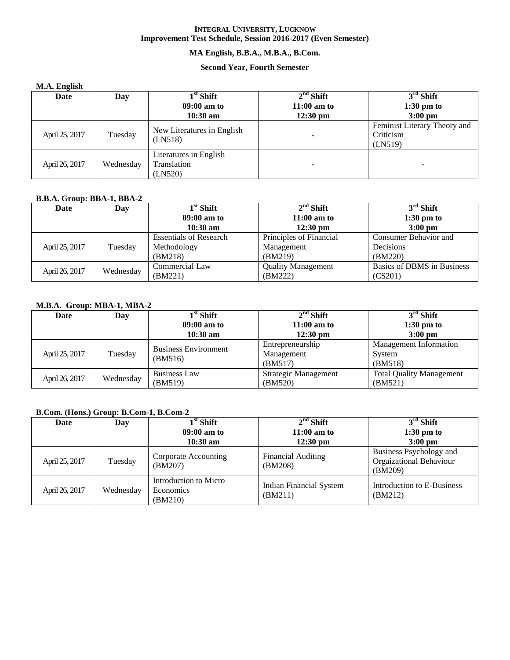#### **MA English, B.B.A., M.B.A., B.Com.**

#### **Second Year, Fourth Semester**

#### **M.A. English**

| ——— <b>—</b> —— |           |                                                  |                    |                                                      |
|-----------------|-----------|--------------------------------------------------|--------------------|------------------------------------------------------|
| Date            | Day       | $1^{\rm st}$ Shift                               | $2nd$ Shift        | $3rd$ Shift                                          |
|                 |           | $09:00$ am to                                    | $11:00$ am to      | $1:30 \text{ pm}$ to                                 |
|                 |           | $10:30$ am                                       | $12:30 \text{ pm}$ | $3:00 \text{ pm}$                                    |
| April 25, 2017  | Tuesday   | New Literatures in English<br>(LN518)            |                    | Feminist Literary Theory and<br>Criticism<br>(LN519) |
| April 26, 2017  | Wednesday | Literatures in English<br>Translation<br>(LN520) |                    |                                                      |

#### **B.B.A. Group: BBA-1, BBA-2**

| Date           | Day       | $1st$ Shift                   | $2nd$ Shift               | $3rd$ Shift                |
|----------------|-----------|-------------------------------|---------------------------|----------------------------|
|                |           | $09:00$ am to                 | $11:00$ am to             | $1:30 \text{ pm}$ to       |
|                |           | $10:30$ am                    | $12:30 \text{ pm}$        | $3:00$ pm                  |
|                |           | <b>Essentials of Research</b> | Principles of Financial   | Consumer Behavior and      |
| April 25, 2017 | Tuesday   | Methodology                   | Management                | Decisions                  |
|                |           | (BM218)                       | (BM219)                   | (BM220)                    |
| April 26, 2017 | Wednesday | Commercial Law                | <b>Quality Management</b> | Basics of DBMS in Business |
|                |           | (BM221)                       | (BM222)                   | (CS201)                    |

#### **M.B.A. Group: MBA-1, MBA-2**

| Date           | Day       | $1st$ Shift                 | $2nd$ Shift                 | $3rd$ Shift                     |
|----------------|-----------|-----------------------------|-----------------------------|---------------------------------|
|                |           | $09:00$ am to               | $11:00$ am to               | $1:30 \text{ pm}$ to            |
|                |           | $10:30$ am                  | $12:30 \text{ pm}$          | $3:00$ pm                       |
|                |           | <b>Business Environment</b> | Entrepreneurship            | Management Information          |
| April 25, 2017 | Tuesday   | (BM516)                     | Management                  | System                          |
|                |           |                             | (BM517)                     | (BM518)                         |
|                |           | <b>Business Law</b>         | <b>Strategic Management</b> | <b>Total Quality Management</b> |
| April 26, 2017 | Wednesday | (BM519)                     | (BM520)                     | (BM521)                         |

#### **B.Com. (Hons.) Group: B.Com-1, B.Com-2**

| Date           | Day       | $1st$ Shift                                   | $2nd$ Shift                               | $3rd$ Shift                                                   |
|----------------|-----------|-----------------------------------------------|-------------------------------------------|---------------------------------------------------------------|
|                |           | $09:00$ am to<br>$10:30$ am                   | $11:00$ am to<br>$12:30 \text{ pm}$       | $1:30 \text{ pm}$ to<br>$3:00 \text{ pm}$                     |
| April 25, 2017 | Tuesday   | Corporate Accounting<br>(BM207)               | <b>Financial Auditing</b><br>(BM208)      | Business Psychology and<br>Orgaizational Behaviour<br>(BM209) |
| April 26, 2017 | Wednesday | Introduction to Micro<br>Economics<br>(BM210) | <b>Indian Financial System</b><br>(BM211) | Introduction to E-Business<br>(BM212)                         |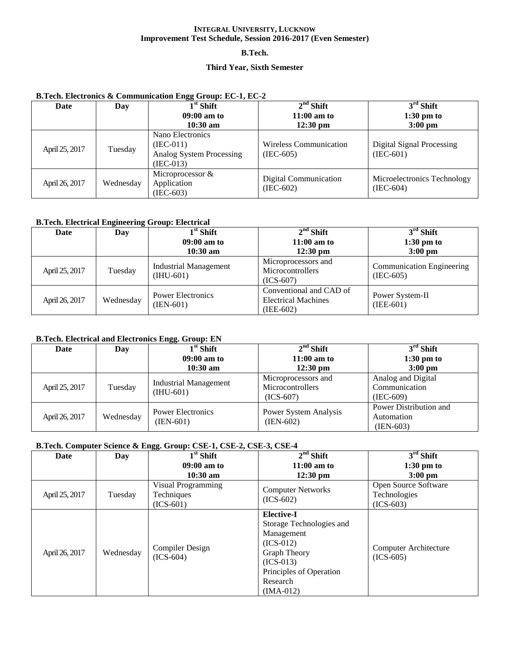#### **B.Tech.**

#### **Third Year, Sixth Semester**

#### **B.Tech. Electronics & Communication Engg Group: EC-1, EC-2**

| Date           | Day       | $\tilde{}$<br>$1st$ Shift                                                  | $2nd$ Shift                                  | $3rd$ Shift                                |
|----------------|-----------|----------------------------------------------------------------------------|----------------------------------------------|--------------------------------------------|
|                |           | $09:00$ am to                                                              | $11:00$ am to                                | $1:30$ pm to                               |
|                |           | $10:30 \text{ am}$                                                         | $12:30 \text{ pm}$                           | $3:00 \text{ pm}$                          |
| April 25, 2017 | Tuesday   | Nano Electronics<br>$(IEC-011)$<br>Analog System Processing<br>$(IEC-013)$ | <b>Wireless Communication</b><br>$(IEC-605)$ | Digital Signal Processing<br>$(IEC-601)$   |
| April 26, 2017 | Wednesday | Microprocessor $\&$<br>Application<br>$(IEC-603)$                          | Digital Communication<br>$(IEC-602)$         | Microelectronics Technology<br>$(IEC-604)$ |

#### **B.Tech. Electrical Engineering Group: Electrical**

| Date           | Day       | $1st$ Shift                                  | $2nd$ Shift                                                        | $3rd$ Shift                                     |
|----------------|-----------|----------------------------------------------|--------------------------------------------------------------------|-------------------------------------------------|
|                |           | $09:00$ am to                                | $11:00$ am to                                                      | $1:30 \text{ pm}$ to                            |
|                |           | $10:30$ am                                   | $12:30 \text{ pm}$                                                 | $3:00 \text{ pm}$                               |
| April 25, 2017 | Tuesday   | <b>Industrial Management</b><br>$(IIIU-601)$ | Microprocessors and<br>Microcontrollers<br>$(ICS-607)$             | <b>Communication Engineering</b><br>$(IEC-605)$ |
| April 26, 2017 | Wednesday | <b>Power Electronics</b><br>$(IEN-601)$      | Conventional and CAD of<br><b>Electrical Machines</b><br>(IEE-602) | Power System-II<br>$(IEE-601)$                  |

#### **B.Tech. Electrical and Electronics Engg. Group: EN**

| Date           | Day       | $1st$ Shift                                | $2nd$ Shift                                            | $3rd$ Shift                                         |
|----------------|-----------|--------------------------------------------|--------------------------------------------------------|-----------------------------------------------------|
|                |           | $09:00$ am to                              | $11:00$ am to                                          | $1:30 \text{ pm}$ to                                |
|                |           | $10:30$ am                                 | $12:30 \text{ pm}$                                     | $3:00 \text{ pm}$                                   |
| April 25, 2017 | Tuesday   | <b>Industrial Management</b><br>$(HU-601)$ | Microprocessors and<br>Microcontrollers<br>$(ICS-607)$ | Analog and Digital<br>Communication<br>$(IEC-609)$  |
| April 26, 2017 | Wednesday | <b>Power Electronics</b><br>$(IEN-601)$    | Power System Analysis<br>$(IEN-602)$                   | Power Distribution and<br>Automation<br>$(IEN-603)$ |

#### **B.Tech. Computer Science & Engg. Group: CSE-1, CSE-2, CSE-3, CSE-4**

| Date           | Day       | $1st$ Shift<br>$09:00$ am to<br>$10:30$ am      | $2nd$ Shift<br>$11:00$ am to<br>$12:30 \text{ pm}$                                                                                                                     | $3rd$ Shift<br>$1:30 \text{ pm}$ to<br>$3:00 \text{ pm}$ |
|----------------|-----------|-------------------------------------------------|------------------------------------------------------------------------------------------------------------------------------------------------------------------------|----------------------------------------------------------|
| April 25, 2017 | Tuesday   | Visual Programming<br>Techniques<br>$(ICS-601)$ | <b>Computer Networks</b><br>$(ICS-602)$                                                                                                                                | Open Source Software<br>Technologies<br>$(ICS-603)$      |
| April 26, 2017 | Wednesday | Compiler Design<br>$(ICS-604)$                  | <b>Elective-I</b><br>Storage Technologies and<br>Management<br>$(ICS-012)$<br><b>Graph Theory</b><br>$(ICS-013)$<br>Principles of Operation<br>Research<br>$(IMA-012)$ | Computer Architecture<br>$(ICS-605)$                     |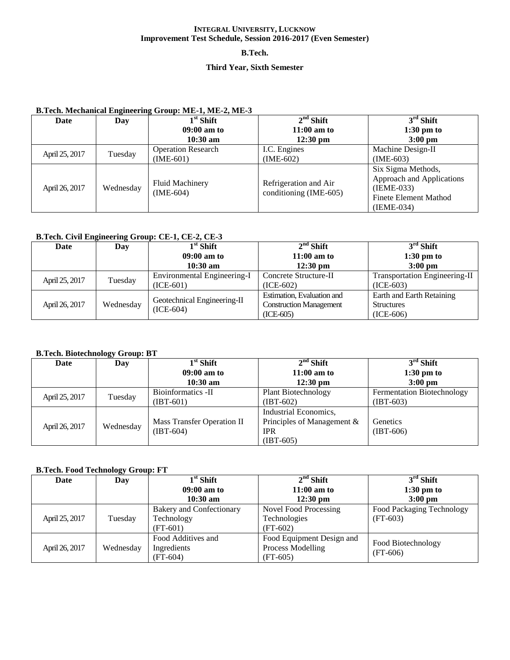#### **B.Tech.**

#### **Third Year, Sixth Semester**

#### **B.Tech. Mechanical Engineering Group: ME-1, ME-2, ME-3**

| Date           | Day       | $1st$ Shift               | $2nd$ Shift            | $3rd$ Shift               |
|----------------|-----------|---------------------------|------------------------|---------------------------|
|                |           | $09:00$ am to             | $11:00$ am to          | $1:30$ pm to              |
|                |           | $10:30$ am                | $12:30 \text{ pm}$     | $3:00 \text{ pm}$         |
| April 25, 2017 | Tuesday   | <b>Operation Research</b> | I.C. Engines           | Machine Design-II         |
|                |           | $(IME-601)$               | $(IME-602)$            | $(IME-603)$               |
|                |           |                           |                        | Six Sigma Methods,        |
|                |           | <b>Fluid Machinery</b>    | Refrigeration and Air  | Approach and Applications |
| April 26, 2017 | Wednesday | $(IME-604)$               | conditioning (IME-605) | $(IEME-033)$              |
|                |           |                           |                        | Finete Element Mathod     |
|                |           |                           |                        | (IEME-034)                |

#### **B.Tech. Civil Engineering Group: CE-1, CE-2, CE-3**

| Date           | Day       | $1st$ Shift                                | $2nd$ Shift                                   | $3rd$ Shift                                         |
|----------------|-----------|--------------------------------------------|-----------------------------------------------|-----------------------------------------------------|
|                |           | $09:00$ am to                              | $11:00$ am to                                 | $1:30$ pm to                                        |
|                |           | $10:30$ am                                 | $12:30 \text{ pm}$                            | $3:00$ pm                                           |
| April 25, 2017 | Tuesday   | Environmental Engineering-I<br>$(ICE-601)$ | Concrete Structure-II<br>$(ICE-602)$          | <b>Transportation Engineering-II</b><br>$(ICE-603)$ |
|                |           |                                            | Estimation, Evaluation and                    | Earth and Earth Retaining                           |
| April 26, 2017 | Wednesday | Geotechnical Engineering-II<br>$(ICE-604)$ | <b>Construction Management</b><br>$(ICE-605)$ | <b>Structures</b><br>$(ICE-606)$                    |

#### **B.Tech. Biotechnology Group: BT**

| Date           | Day       | $1st$ Shift                | $2nd$ Shift                   | $3rd$ Shift                |
|----------------|-----------|----------------------------|-------------------------------|----------------------------|
|                |           | $09:00$ am to              | $11:00$ am to                 | $1:30 \text{ pm}$ to       |
|                |           | $10:30$ am                 | $12:30 \text{ pm}$            | $3:00$ pm                  |
|                |           | Bioinformatics -II         | <b>Plant Biotechnology</b>    | Fermentation Biotechnology |
| April 25, 2017 | Tuesday   | (IBT-601)                  | $(IBT-602)$                   | $(IBT-603)$                |
|                |           |                            | Industrial Economics,         |                            |
| April 26, 2017 |           | Mass Transfer Operation II | Principles of Management $\&$ | Genetics<br>$(IBT-606)$    |
|                | Wednesday | $(IBT-604)$                | <b>IPR</b>                    |                            |
|                |           |                            | $(IBT-605)$                   |                            |

#### **B.Tech. Food Technology Group: FT**

| Date           | Day       | $1st$ Shift                     | $2nd$ Shift               | $3rd$ Shift               |
|----------------|-----------|---------------------------------|---------------------------|---------------------------|
|                |           | $09:00$ am to                   | $11:00$ am to             | $1:30$ pm to              |
|                |           | $10:30$ am                      | $12:30 \text{ pm}$        | $3:00 \text{ pm}$         |
|                |           | <b>Bakery and Confectionary</b> | Novel Food Processing     | Food Packaging Technology |
| April 25, 2017 | Tuesday   | Technology                      | Technologies              | $(FT-603)$                |
|                |           | $(FT-601)$                      | $(FT-602)$                |                           |
|                |           | Food Additives and              | Food Equipment Design and | Food Biotechnology        |
| April 26, 2017 | Wednesday | Ingredients                     | Process Modelling         | $(FT-606)$                |
|                |           | $(FT-604)$                      | $(FT-605)$                |                           |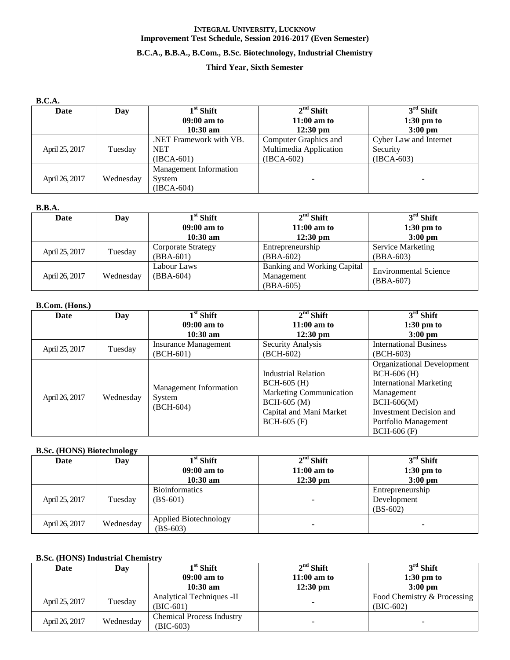## **B.C.A., B.B.A., B.Com., B.Sc. Biotechnology, Industrial Chemistry**

#### **Third Year, Sixth Semester**

#### **B.C.A.**

| Date           | Day       | $1^{\rm st}$ Shift<br>$09:00$ am to<br>$10:30$ am     | $2nd$ Shift<br>$11:00$ am to<br>$12:30$ pm                      | $3rd$ Shift<br>$1:30 \text{ pm}$ to<br>$3:00$ pm   |
|----------------|-----------|-------------------------------------------------------|-----------------------------------------------------------------|----------------------------------------------------|
| April 25, 2017 | Tuesday   | .NET Framework with VB.<br><b>NET</b><br>$(IBCA-601)$ | Computer Graphics and<br>Multimedia Application<br>$(IBCA-602)$ | Cyber Law and Internet<br>Security<br>$(IBCA-603)$ |
| April 26, 2017 | Wednesday | <b>Management Information</b><br>System<br>(IBCA-604) |                                                                 | $\overline{\phantom{0}}$                           |

#### **B.B.A.**

| -------        |           |                    |                             |                              |
|----------------|-----------|--------------------|-----------------------------|------------------------------|
| Date           | Day       | $1st$ Shift        | $2nd$ Shift                 | $3rd$ Shift                  |
|                |           | $09:00$ am to      | $11:00$ am to               | $1:30 \text{ pm}$ to         |
|                |           | $10:30$ am         | $12:30 \text{ pm}$          | $3:00$ pm                    |
| April 25, 2017 | Tuesday   | Corporate Strategy | Entrepreneurship            | <b>Service Marketing</b>     |
|                |           | (BBA-601)          | (BBA-602)                   | $(BBA-603)$                  |
|                |           | Labour Laws        | Banking and Working Capital | <b>Environmental Science</b> |
| April 26, 2017 | Wednesday | $(BBA-604)$        | Management                  | $(BBA-607)$                  |
|                |           |                    | (BBA-605)                   |                              |

#### **B.Com. (Hons.)**

| Date           | Day       | $1st$ Shift                                            | $2nd$ Shift                                                                                                                         | $3rd$ Shift                                                                                                                                                                            |
|----------------|-----------|--------------------------------------------------------|-------------------------------------------------------------------------------------------------------------------------------------|----------------------------------------------------------------------------------------------------------------------------------------------------------------------------------------|
|                |           | $09:00$ am to                                          | $11:00$ am to                                                                                                                       | $1:30 \text{ pm}$ to                                                                                                                                                                   |
|                |           | $10:30 \text{ am}$                                     | $12:30 \text{ pm}$                                                                                                                  | $3:00 \text{ pm}$                                                                                                                                                                      |
|                | Tuesday   | <b>Insurance Management</b>                            | Security Analysis                                                                                                                   | <b>International Business</b>                                                                                                                                                          |
| April 25, 2017 |           | (BCH-601)                                              | (BCH-602)                                                                                                                           | $(BCH-603)$                                                                                                                                                                            |
| April 26, 2017 | Wednesday | <b>Management Information</b><br>System<br>$(BCH-604)$ | <b>Industrial Relation</b><br>$BCH-605$ (H)<br>Marketing Communication<br>$BCH-605$ (M)<br>Capital and Mani Market<br>$BCH-605$ (F) | <b>Organizational Development</b><br>$BCH-606$ (H)<br><b>International Marketing</b><br>Management<br>$BCH-606(M)$<br>Investment Decision and<br>Portfolio Management<br>$BCH-606$ (F) |

#### **B.Sc. (HONS) Biotechnology**

| Date           | Day       | $1st$ Shift           | $2nd$ Shift        | $3rd$ Shift              |
|----------------|-----------|-----------------------|--------------------|--------------------------|
|                |           | $09:00$ am to         | $11:00$ am to      | $1:30 \text{ pm}$ to     |
|                |           | $10:30$ am            | $12:30 \text{ pm}$ | $3:00 \text{ pm}$        |
|                |           | Bioinformatics        |                    | Entrepreneurship         |
| April 25, 2017 | Tuesday   | $(BS-601)$            |                    | Development              |
|                |           |                       |                    | $(BS-602)$               |
| April 26, 2017 | Wednesday | Applied Biotechnology |                    |                          |
|                |           | $(BS-603)$            |                    | $\overline{\phantom{a}}$ |

#### **B.Sc. (HONS) Industrial Chemistry**

| Date           | Day       | $1st$ Shift                                     | $2nd$ Shift   | $3rd$ Shift                                |
|----------------|-----------|-------------------------------------------------|---------------|--------------------------------------------|
|                |           | $09:00$ am to                                   | $11:00$ am to | $1:30 \text{ pm}$ to                       |
|                |           | $10:30$ am                                      | $12:30$ pm    | $3:00$ pm                                  |
| April 25, 2017 | Tuesday   | <b>Analytical Techniques -II</b><br>$(BIC-601)$ |               | Food Chemistry & Processing<br>$(BIC-602)$ |
| April 26, 2017 | Wednesday | <b>Chemical Process Industry</b><br>$(BIC-603)$ |               | -                                          |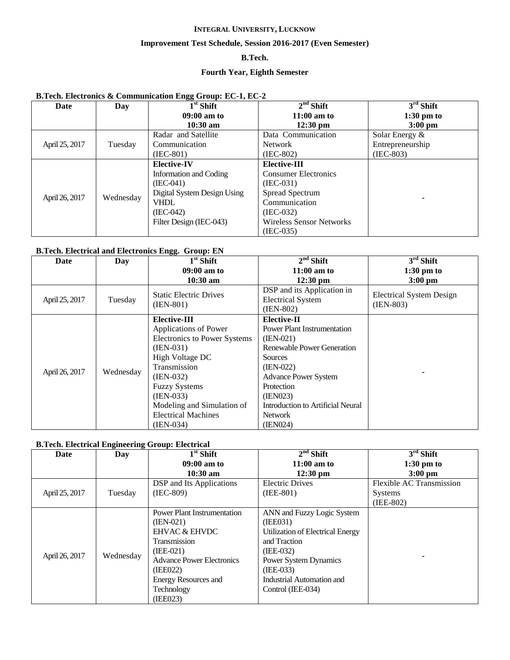#### **Improvement Test Schedule, Session 2016-2017 (Even Semester)**

#### **B.Tech.**

#### **Fourth Year, Eighth Semester**

#### **B.Tech. Electronics & Communication Engg Group: EC-1, EC-2**

| Date           | Day       | $1st$ Shift                 | $2nd$ Shift                 | $3rd$ Shift       |
|----------------|-----------|-----------------------------|-----------------------------|-------------------|
|                |           | $09:00$ am to               | $11:00$ am to               | $1:30$ pm to      |
|                |           | $10:30 \text{ am}$          | $12:30$ pm                  | $3:00 \text{ pm}$ |
|                |           | Radar and Satellite         | Data Communication          | Solar Energy $\&$ |
| April 25, 2017 | Tuesday   | Communication               | <b>Network</b>              | Entrepreneurship  |
|                |           | $(IEC-801)$                 | $(IEC-802)$                 | $(IEC-803)$       |
|                |           | <b>Elective-IV</b>          | Elective-III                |                   |
|                |           | Information and Coding      | <b>Consumer Electronics</b> |                   |
| April 26, 2017 |           | $(IEC-041)$                 | $(IEC-031)$                 |                   |
|                |           | Digital System Design Using | Spread Spectrum             |                   |
|                | Wednesday | VHDL                        | Communication               |                   |
|                |           | $(IEC-042)$                 | $(IEC-032)$                 |                   |
|                |           | Filter Design (IEC-043)     | Wireless Sensor Networks    |                   |
|                |           |                             | $(IEC-035)$                 |                   |

#### **B.Tech. Electrical and Electronics Engg. Group: EN**

| Date           | <b>Day</b> | $\overline{1}^{\rm st}$ Shift                | $2nd$ Shift                                                           | $3rd$ Shift                                    |
|----------------|------------|----------------------------------------------|-----------------------------------------------------------------------|------------------------------------------------|
|                |            | 09:00 am to                                  | $11:00$ am to                                                         | $1:30 \text{ pm}$ to                           |
|                |            | $10:30$ am                                   | $12:30 \text{ pm}$                                                    | $3:00 \text{ pm}$                              |
| April 25, 2017 | Tuesday    | <b>Static Electric Drives</b><br>$(IEN-801)$ | DSP and its Application in<br><b>Electrical System</b><br>$(IEN-802)$ | <b>Electrical System Design</b><br>$(IEN-803)$ |
|                |            | Elective-III                                 | <b>Elective-II</b>                                                    |                                                |
|                | Wednesday  | Applications of Power                        | <b>Power Plant Instrumentation</b>                                    |                                                |
|                |            | <b>Electronics to Power Systems</b>          | $(IEN-021)$                                                           |                                                |
|                |            | $(IEN-031)$                                  | Renewable Power Generation                                            |                                                |
|                |            | High Voltage DC                              | Sources                                                               |                                                |
| April 26, 2017 |            | Transmission                                 | $(IEN-022)$                                                           |                                                |
|                |            | $(IEN-032)$                                  | <b>Advance Power System</b>                                           |                                                |
|                |            | <b>Fuzzy Systems</b>                         | Protection                                                            |                                                |
|                |            | $(IEN-033)$                                  | (IEN023)                                                              |                                                |
|                |            | Modeling and Simulation of                   | Introduction to Artificial Neural                                     |                                                |
|                |            | <b>Electrical Machines</b>                   | <b>Network</b>                                                        |                                                |
|                |            | $(IEN-034)$                                  | (IEN024)                                                              |                                                |

## **B.Tech. Electrical Engineering Group: Electrical**

| Date           | Day       | $1st$ Shift                        | $2nd$ Shift                      | $3rd$ Shift              |
|----------------|-----------|------------------------------------|----------------------------------|--------------------------|
|                |           | $09:00$ am to                      | $11:00$ am to                    | $1:30 \text{ pm}$ to     |
|                |           | $10:30$ am                         | $12:30 \text{ pm}$               | $3:00 \text{ pm}$        |
|                |           | DSP and Its Applications           | <b>Electric Drives</b>           | Flexible AC Transmission |
| April 25, 2017 | Tuesday   | $(IEC-809)$                        | $(IEE-801)$                      | <b>Systems</b>           |
|                |           |                                    |                                  | $(IEE-802)$              |
|                |           | <b>Power Plant Instrumentation</b> | ANN and Fuzzy Logic System       |                          |
|                |           | $(IEN-021)$                        | (IEE031)                         |                          |
|                |           | EHVAC & EHVDC                      | Utilization of Electrical Energy |                          |
|                |           | Transmission                       | and Traction                     |                          |
|                |           | $(IEE-021)$                        | $(IEE-032)$                      |                          |
| April 26, 2017 | Wednesday | <b>Advance Power Electronics</b>   | <b>Power System Dynamics</b>     |                          |
|                |           | (IEE022)                           | $(IEE-033)$                      |                          |
|                |           | Energy Resources and               | Industrial Automation and        |                          |
|                |           | Technology                         | Control (IEE-034)                |                          |
|                |           | (IEE023)                           |                                  |                          |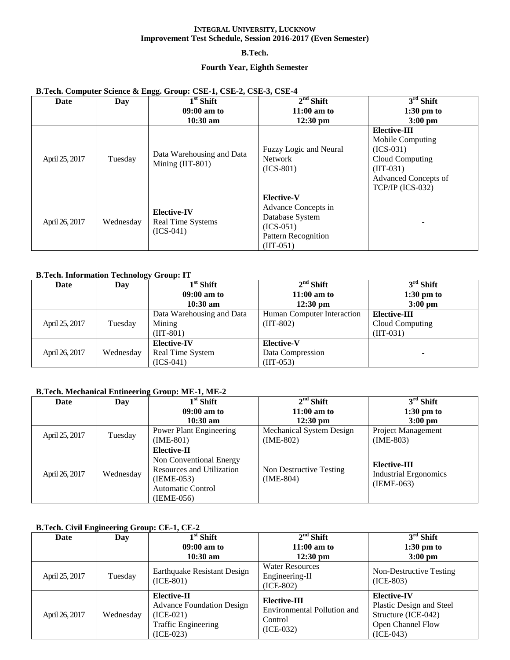#### **B.Tech.**

#### **Fourth Year, Eighth Semester**

| Date           | Day       | $1st$ Shift                                            | $2nd$ Shift                                                                                                             | $3rd$ Shift                                                                                                                          |
|----------------|-----------|--------------------------------------------------------|-------------------------------------------------------------------------------------------------------------------------|--------------------------------------------------------------------------------------------------------------------------------------|
|                |           | $09:00$ am to                                          | $11:00$ am to                                                                                                           | $1:30 \text{ pm}$ to                                                                                                                 |
|                |           | $10:30$ am                                             | $12:30 \text{ pm}$                                                                                                      | $3:00 \text{ pm}$                                                                                                                    |
| April 25, 2017 | Tuesday   | Data Warehousing and Data<br>Mining (IIT-801)          | Fuzzy Logic and Neural<br><b>Network</b><br>$(ICS-801)$                                                                 | <b>Elective-III</b><br>Mobile Computing<br>$(ICS-031)$<br>Cloud Computing<br>$(III-031)$<br>Advanced Concepts of<br>TCP/IP (ICS-032) |
| April 26, 2017 | Wednesday | <b>Elective-IV</b><br>Real Time Systems<br>$(ICS-041)$ | <b>Elective-V</b><br>Advance Concepts in<br>Database System<br>$(ICS-051)$<br><b>Pattern Recognition</b><br>$(III-051)$ |                                                                                                                                      |

#### **B.Tech. Computer Science & Engg. Group: CSE-1, CSE-2, CSE-3, CSE-4**

#### **B.Tech. Information Technology Group: IT**

| Date           | Day       | $1st$ Shift               | $2nd$ Shift                | $3rd$ Shift          |
|----------------|-----------|---------------------------|----------------------------|----------------------|
|                |           | $09:00$ am to             | $11:00$ am to              | $1:30 \text{ pm}$ to |
|                |           | $10:30$ am                | $12:30 \text{ pm}$         | $3:00 \text{ pm}$    |
|                |           | Data Warehousing and Data | Human Computer Interaction | Elective-III         |
| April 25, 2017 | Tuesday   | Mining                    | $(III-802)$                | Cloud Computing      |
|                |           | $(III-801)$               |                            | $(III-031)$          |
|                |           | <b>Elective-IV</b>        | <b>Elective-V</b>          |                      |
| April 26, 2017 | Wednesday | Real Time System          | Data Compression           |                      |
|                |           | $(ICS-041)$               | $(III-053)$                |                      |

#### **B.Tech. Mechanical Entineering Group: ME-1, ME-2**

| Date           | Day       | $1st$ Shift                                                                                                                   | $2nd$ Shift                            | $3rd$ Shift                                                  |
|----------------|-----------|-------------------------------------------------------------------------------------------------------------------------------|----------------------------------------|--------------------------------------------------------------|
|                |           | $09:00$ am to                                                                                                                 | $11:00$ am to                          | $1:30 \text{ pm}$ to                                         |
|                |           | $10:30$ am                                                                                                                    | $12:30 \text{ pm}$                     | $3:00 \text{ pm}$                                            |
|                | Tuesday   | <b>Power Plant Engineering</b>                                                                                                | Mechanical System Design               | Project Management                                           |
| April 25, 2017 |           | $(IME-801)$                                                                                                                   | $(IME-802)$                            | $(IME-803)$                                                  |
| April 26, 2017 | Wednesday | Elective-II<br>Non Conventional Energy<br>Resources and Utilization<br>$(IEME-053)$<br><b>Automatic Control</b><br>(IEME-056) | Non Destructive Testing<br>$(IME-804)$ | Elective-III<br><b>Industrial Ergonomics</b><br>$(IEME-063)$ |

#### **B.Tech. Civil Engineering Group: CE-1, CE-2**

| Date           | Day       | $1st$ Shift                                                                                                 | $2nd$ Shift                                                           | $3rd$ Shift                                                                                               |
|----------------|-----------|-------------------------------------------------------------------------------------------------------------|-----------------------------------------------------------------------|-----------------------------------------------------------------------------------------------------------|
|                |           | $09:00$ am to<br>$10:30$ am                                                                                 | $11:00$ am to                                                         | $1:30$ pm to                                                                                              |
|                |           |                                                                                                             | $12:30 \text{ pm}$<br><b>Water Resources</b>                          | $3:00$ pm                                                                                                 |
| April 25, 2017 | Tuesday   | <b>Earthquake Resistant Design</b><br>$(ICE-801)$                                                           | Engineering-II<br>$(ICE-802)$                                         | Non-Destructive Testing<br>$(ICE-803)$                                                                    |
| April 26, 2017 | Wednesday | Elective-II<br><b>Advance Foundation Design</b><br>$(ICE-021)$<br><b>Traffic Engineering</b><br>$(ICE-023)$ | Elective-III<br>Environmental Pollution and<br>Control<br>$(ICE-032)$ | <b>Elective-IV</b><br>Plastic Design and Steel<br>Structure (ICE-042)<br>Open Channel Flow<br>$(ICE-043)$ |